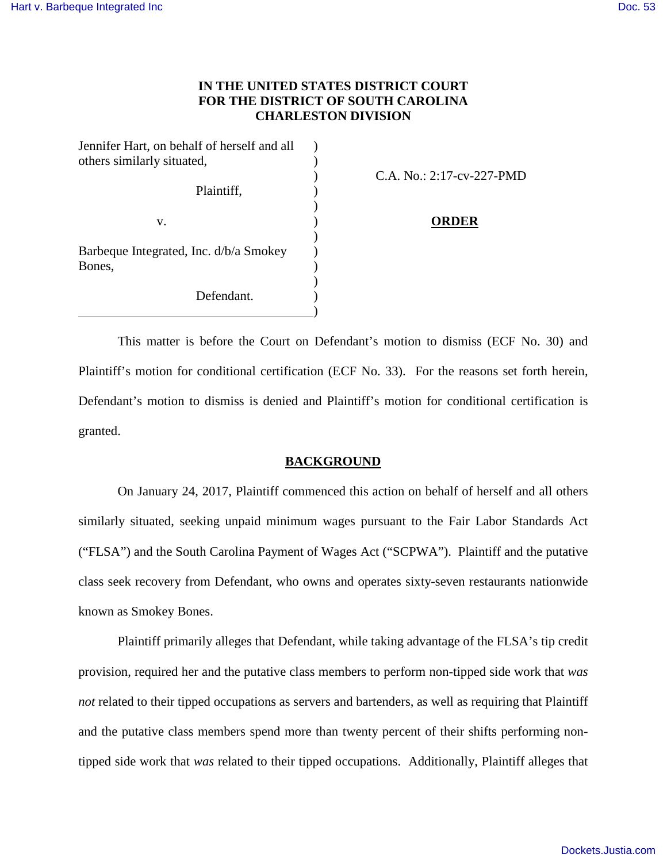# **IN THE UNITED STATES DISTRICT COURT FOR THE DISTRICT OF SOUTH CAROLINA CHARLESTON DIVISION**

| Jennifer Hart, on behalf of herself and all                    |  |
|----------------------------------------------------------------|--|
| others similarly situated,                                     |  |
|                                                                |  |
| Plaintiff,                                                     |  |
|                                                                |  |
| v.                                                             |  |
| Barbeque Integrated, Inc. d/b/a Smokey<br>Bones,<br>Defendant. |  |
|                                                                |  |
|                                                                |  |
|                                                                |  |
|                                                                |  |
|                                                                |  |

) C.A. No.: 2:17-cv-227-PMD

#### **ORDER**

This matter is before the Court on Defendant's motion to dismiss (ECF No. 30) and Plaintiff's motion for conditional certification (ECF No. 33). For the reasons set forth herein, Defendant's motion to dismiss is denied and Plaintiff's motion for conditional certification is granted.

### **BACKGROUND**

On January 24, 2017, Plaintiff commenced this action on behalf of herself and all others similarly situated, seeking unpaid minimum wages pursuant to the Fair Labor Standards Act ("FLSA") and the South Carolina Payment of Wages Act ("SCPWA"). Plaintiff and the putative class seek recovery from Defendant, who owns and operates sixty-seven restaurants nationwide known as Smokey Bones.

Plaintiff primarily alleges that Defendant, while taking advantage of the FLSA's tip credit provision, required her and the putative class members to perform non-tipped side work that *was not* related to their tipped occupations as servers and bartenders, as well as requiring that Plaintiff and the putative class members spend more than twenty percent of their shifts performing nontipped side work that *was* related to their tipped occupations. Additionally, Plaintiff alleges that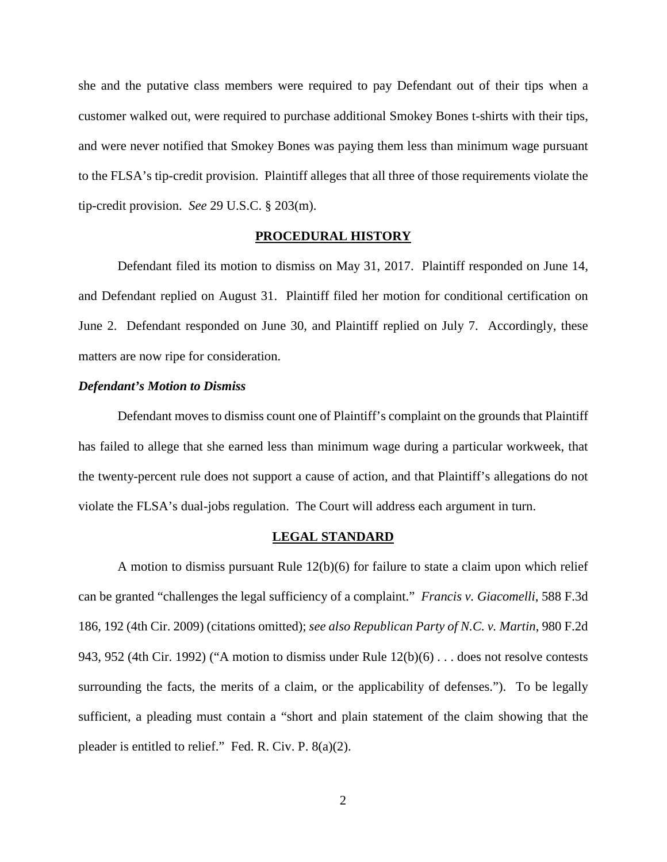she and the putative class members were required to pay Defendant out of their tips when a customer walked out, were required to purchase additional Smokey Bones t-shirts with their tips, and were never notified that Smokey Bones was paying them less than minimum wage pursuant to the FLSA's tip-credit provision. Plaintiff alleges that all three of those requirements violate the tip-credit provision. *See* 29 U.S.C. § 203(m).

#### **PROCEDURAL HISTORY**

Defendant filed its motion to dismiss on May 31, 2017. Plaintiff responded on June 14, and Defendant replied on August 31. Plaintiff filed her motion for conditional certification on June 2. Defendant responded on June 30, and Plaintiff replied on July 7. Accordingly, these matters are now ripe for consideration.

#### *Defendant's Motion to Dismiss*

Defendant moves to dismiss count one of Plaintiff's complaint on the grounds that Plaintiff has failed to allege that she earned less than minimum wage during a particular workweek, that the twenty-percent rule does not support a cause of action, and that Plaintiff's allegations do not violate the FLSA's dual-jobs regulation. The Court will address each argument in turn.

#### **LEGAL STANDARD**

A motion to dismiss pursuant Rule 12(b)(6) for failure to state a claim upon which relief can be granted "challenges the legal sufficiency of a complaint." *Francis v. Giacomelli*, 588 F.3d 186, 192 (4th Cir. 2009) (citations omitted); *see also Republican Party of N.C. v. Martin*, 980 F.2d 943, 952 (4th Cir. 1992) ("A motion to dismiss under Rule 12(b)(6) . . . does not resolve contests surrounding the facts, the merits of a claim, or the applicability of defenses."). To be legally sufficient, a pleading must contain a "short and plain statement of the claim showing that the pleader is entitled to relief." Fed. R. Civ. P. 8(a)(2).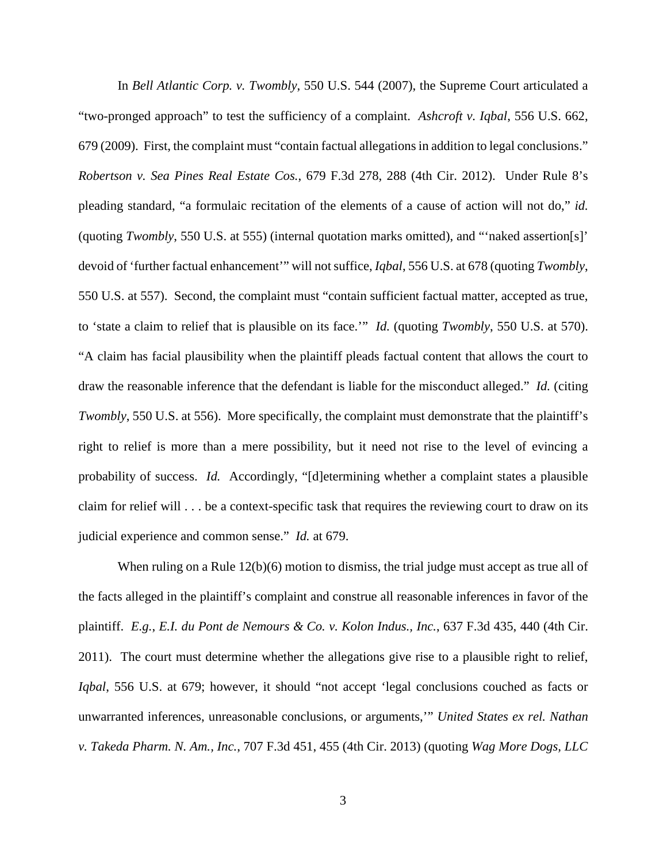In *Bell Atlantic Corp. v. Twombly*, 550 U.S. 544 (2007), the Supreme Court articulated a "two-pronged approach" to test the sufficiency of a complaint. *Ashcroft v. Iqbal*, 556 U.S. 662, 679 (2009). First, the complaint must "contain factual allegations in addition to legal conclusions." *Robertson v. Sea Pines Real Estate Cos.*, 679 F.3d 278, 288 (4th Cir. 2012). Under Rule 8's pleading standard, "a formulaic recitation of the elements of a cause of action will not do," *id.* (quoting *Twombly*, 550 U.S. at 555) (internal quotation marks omitted), and "'naked assertion[s]' devoid of 'further factual enhancement'" will not suffice, *Iqbal*, 556 U.S. at 678 (quoting *Twombly*, 550 U.S. at 557). Second, the complaint must "contain sufficient factual matter, accepted as true, to 'state a claim to relief that is plausible on its face.'" *Id.* (quoting *Twombly*, 550 U.S. at 570). "A claim has facial plausibility when the plaintiff pleads factual content that allows the court to draw the reasonable inference that the defendant is liable for the misconduct alleged." *Id.* (citing *Twombly*, 550 U.S. at 556). More specifically, the complaint must demonstrate that the plaintiff's right to relief is more than a mere possibility, but it need not rise to the level of evincing a probability of success. *Id.* Accordingly, "[d]etermining whether a complaint states a plausible claim for relief will . . . be a context-specific task that requires the reviewing court to draw on its judicial experience and common sense." *Id.* at 679.

When ruling on a Rule 12(b)(6) motion to dismiss, the trial judge must accept as true all of the facts alleged in the plaintiff's complaint and construe all reasonable inferences in favor of the plaintiff. *E.g.*, *E.I. du Pont de Nemours & Co. v. Kolon Indus., Inc.*, 637 F.3d 435, 440 (4th Cir. 2011). The court must determine whether the allegations give rise to a plausible right to relief, *Iqbal*, 556 U.S. at 679; however, it should "not accept 'legal conclusions couched as facts or unwarranted inferences, unreasonable conclusions, or arguments,'" *United States ex rel. Nathan v. Takeda Pharm. N. Am., Inc.*, 707 F.3d 451, 455 (4th Cir. 2013) (quoting *Wag More Dogs, LLC*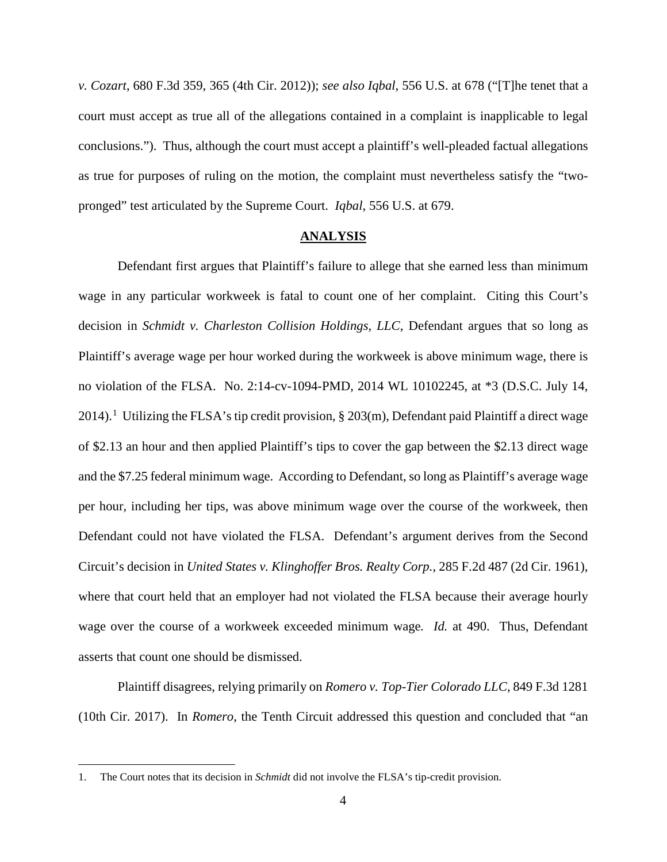*v. Cozart*, 680 F.3d 359, 365 (4th Cir. 2012)); *see also Iqbal*, 556 U.S. at 678 ("[T]he tenet that a court must accept as true all of the allegations contained in a complaint is inapplicable to legal conclusions."). Thus, although the court must accept a plaintiff's well-pleaded factual allegations as true for purposes of ruling on the motion, the complaint must nevertheless satisfy the "twopronged" test articulated by the Supreme Court. *Iqbal*, 556 U.S. at 679.

# **ANALYSIS**

Defendant first argues that Plaintiff's failure to allege that she earned less than minimum wage in any particular workweek is fatal to count one of her complaint. Citing this Court's decision in *Schmidt v. Charleston Collision Holdings, LLC*, Defendant argues that so long as Plaintiff's average wage per hour worked during the workweek is above minimum wage, there is no violation of the FLSA. No. 2:14-cv-1094-PMD, 2014 WL 10102245, at \*3 (D.S.C. July 14, 20[1](#page-3-0)4).<sup>1</sup> Utilizing the FLSA's tip credit provision,  $\S 203(m)$ , Defendant paid Plaintiff a direct wage of \$2.13 an hour and then applied Plaintiff's tips to cover the gap between the \$2.13 direct wage and the \$7.25 federal minimum wage. According to Defendant, so long as Plaintiff's average wage per hour, including her tips, was above minimum wage over the course of the workweek, then Defendant could not have violated the FLSA. Defendant's argument derives from the Second Circuit's decision in *United States v. Klinghoffer Bros. Realty Corp.*, 285 F.2d 487 (2d Cir. 1961), where that court held that an employer had not violated the FLSA because their average hourly wage over the course of a workweek exceeded minimum wage*. Id.* at 490. Thus, Defendant asserts that count one should be dismissed.

Plaintiff disagrees, relying primarily on *Romero v. Top-Tier Colorado LLC*, 849 F.3d 1281 (10th Cir. 2017). In *Romero*, the Tenth Circuit addressed this question and concluded that "an

<u>.</u>

<span id="page-3-0"></span><sup>1.</sup> The Court notes that its decision in *Schmidt* did not involve the FLSA's tip-credit provision.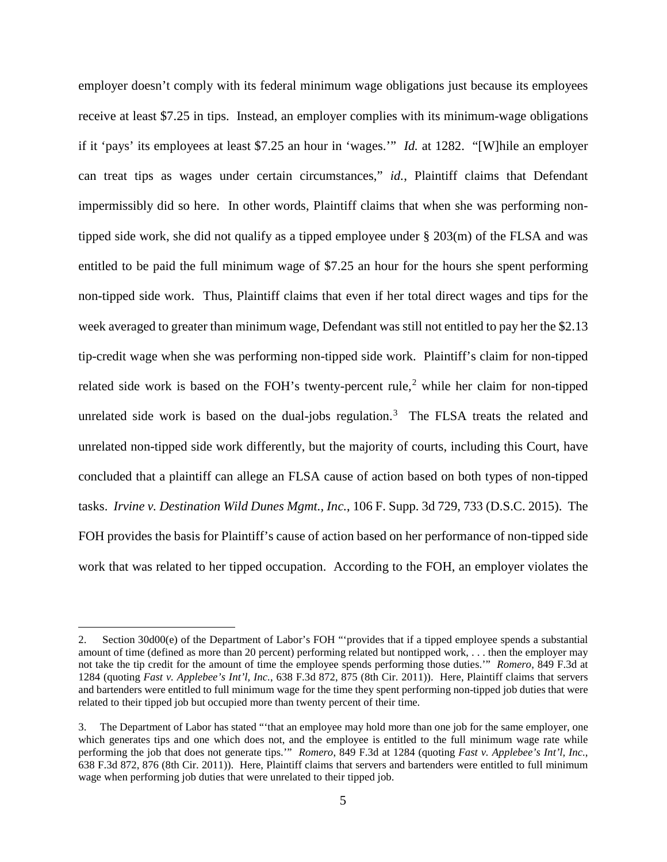employer doesn't comply with its federal minimum wage obligations just because its employees receive at least \$7.25 in tips. Instead, an employer complies with its minimum-wage obligations if it 'pays' its employees at least \$7.25 an hour in 'wages.'" *Id.* at 1282. "[W]hile an employer can treat tips as wages under certain circumstances," *id.*, Plaintiff claims that Defendant impermissibly did so here. In other words, Plaintiff claims that when she was performing nontipped side work, she did not qualify as a tipped employee under § 203(m) of the FLSA and was entitled to be paid the full minimum wage of \$7.25 an hour for the hours she spent performing non-tipped side work. Thus, Plaintiff claims that even if her total direct wages and tips for the week averaged to greater than minimum wage, Defendant was still not entitled to pay her the \$2.13 tip-credit wage when she was performing non-tipped side work. Plaintiff's claim for non-tipped related side work is based on the FOH's twenty-percent rule,<sup>[2](#page-4-0)</sup> while her claim for non-tipped unrelated side work is based on the dual-jobs regulation.<sup>[3](#page-4-1)</sup> The FLSA treats the related and unrelated non-tipped side work differently, but the majority of courts, including this Court, have concluded that a plaintiff can allege an FLSA cause of action based on both types of non-tipped tasks. *Irvine v. Destination Wild Dunes Mgmt., Inc.*, 106 F. Supp. 3d 729, 733 (D.S.C. 2015). The FOH provides the basis for Plaintiff's cause of action based on her performance of non-tipped side work that was related to her tipped occupation. According to the FOH, an employer violates the

 $\overline{a}$ 

<span id="page-4-0"></span><sup>2.</sup> Section 30d00(e) of the Department of Labor's FOH "'provides that if a tipped employee spends a substantial amount of time (defined as more than 20 percent) performing related but nontipped work, . . . then the employer may not take the tip credit for the amount of time the employee spends performing those duties.'" *Romero*, 849 F.3d at 1284 (quoting *Fast v. Applebee's Int'l, Inc.*, 638 F.3d 872, 875 (8th Cir. 2011)). Here, Plaintiff claims that servers and bartenders were entitled to full minimum wage for the time they spent performing non-tipped job duties that were related to their tipped job but occupied more than twenty percent of their time.

<span id="page-4-1"></span><sup>3.</sup> The Department of Labor has stated "'that an employee may hold more than one job for the same employer, one which generates tips and one which does not, and the employee is entitled to the full minimum wage rate while performing the job that does not generate tips.'" *Romero*, 849 F.3d at 1284 (quoting *Fast v. Applebee's Int'l, Inc.*, 638 F.3d 872, 876 (8th Cir. 2011)). Here, Plaintiff claims that servers and bartenders were entitled to full minimum wage when performing job duties that were unrelated to their tipped job.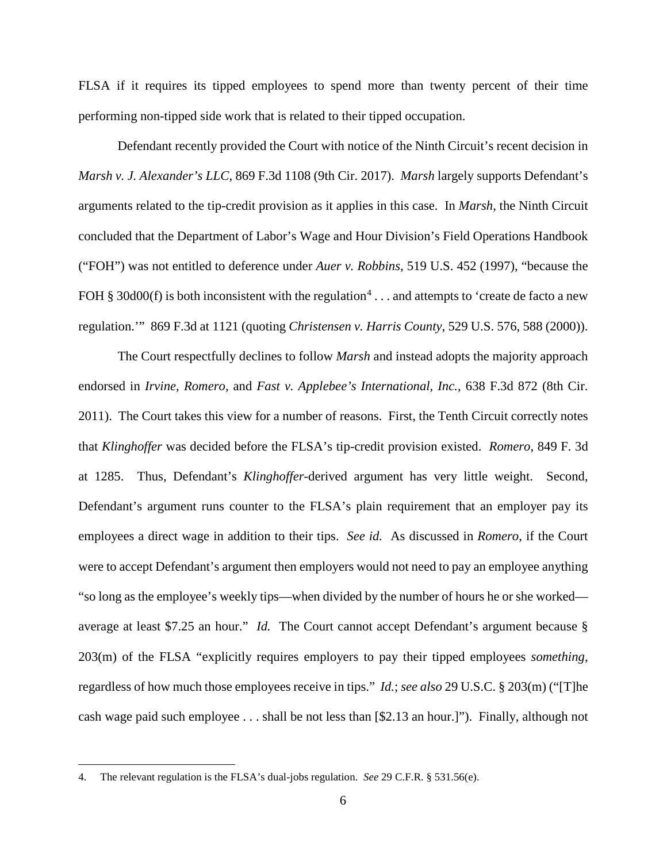FLSA if it requires its tipped employees to spend more than twenty percent of their time performing non-tipped side work that is related to their tipped occupation.

Defendant recently provided the Court with notice of the Ninth Circuit's recent decision in *Marsh v. J. Alexander's LLC*, 869 F.3d 1108 (9th Cir. 2017). *Marsh* largely supports Defendant's arguments related to the tip-credit provision as it applies in this case. In *Marsh*, the Ninth Circuit concluded that the Department of Labor's Wage and Hour Division's Field Operations Handbook ("FOH") was not entitled to deference under *Auer v. Robbins*, 519 U.S. 452 (1997), "because the FOH § 30d00(f) is both inconsistent with the regulation<sup>[4](#page-5-0)</sup>... and attempts to 'create de facto a new regulation.'" 869 F.3d at 1121 (quoting *Christensen v. Harris County*, 529 U.S. 576, 588 (2000)).

The Court respectfully declines to follow *Marsh* and instead adopts the majority approach endorsed in *Irvine*, *Romero*, and *Fast v. Applebee's International, Inc.*, 638 F.3d 872 (8th Cir. 2011). The Court takes this view for a number of reasons. First, the Tenth Circuit correctly notes that *Klinghoffer* was decided before the FLSA's tip-credit provision existed. *Romero*, 849 F. 3d at 1285. Thus, Defendant's *Klinghoffer*-derived argument has very little weight. Second, Defendant's argument runs counter to the FLSA's plain requirement that an employer pay its employees a direct wage in addition to their tips. *See id.* As discussed in *Romero*, if the Court were to accept Defendant's argument then employers would not need to pay an employee anything "so long as the employee's weekly tips—when divided by the number of hours he or she worked average at least \$7.25 an hour." *Id.* The Court cannot accept Defendant's argument because § 203(m) of the FLSA "explicitly requires employers to pay their tipped employees *something*, regardless of how much those employees receive in tips." *Id.*; *see also* 29 U.S.C. § 203(m) ("[T]he cash wage paid such employee . . . shall be not less than [\$2.13 an hour.]"). Finally, although not

 $\overline{a}$ 

<span id="page-5-0"></span><sup>4.</sup> The relevant regulation is the FLSA's dual-jobs regulation. *See* 29 C.F.R. § 531.56(e).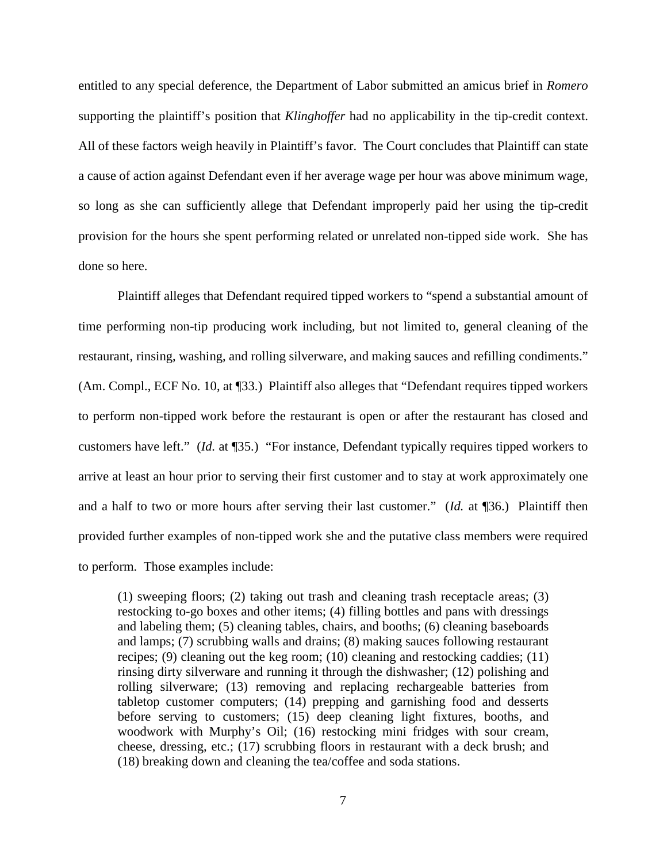entitled to any special deference, the Department of Labor submitted an amicus brief in *Romero* supporting the plaintiff's position that *Klinghoffer* had no applicability in the tip-credit context. All of these factors weigh heavily in Plaintiff's favor. The Court concludes that Plaintiff can state a cause of action against Defendant even if her average wage per hour was above minimum wage, so long as she can sufficiently allege that Defendant improperly paid her using the tip-credit provision for the hours she spent performing related or unrelated non-tipped side work. She has done so here.

Plaintiff alleges that Defendant required tipped workers to "spend a substantial amount of time performing non-tip producing work including, but not limited to, general cleaning of the restaurant, rinsing, washing, and rolling silverware, and making sauces and refilling condiments." (Am. Compl., ECF No. 10, at ¶33.) Plaintiff also alleges that "Defendant requires tipped workers to perform non-tipped work before the restaurant is open or after the restaurant has closed and customers have left." (*Id.* at ¶35.) "For instance, Defendant typically requires tipped workers to arrive at least an hour prior to serving their first customer and to stay at work approximately one and a half to two or more hours after serving their last customer." (*Id.* at ¶36.) Plaintiff then provided further examples of non-tipped work she and the putative class members were required to perform. Those examples include:

(1) sweeping floors; (2) taking out trash and cleaning trash receptacle areas; (3) restocking to-go boxes and other items; (4) filling bottles and pans with dressings and labeling them; (5) cleaning tables, chairs, and booths; (6) cleaning baseboards and lamps; (7) scrubbing walls and drains; (8) making sauces following restaurant recipes; (9) cleaning out the keg room; (10) cleaning and restocking caddies; (11) rinsing dirty silverware and running it through the dishwasher; (12) polishing and rolling silverware; (13) removing and replacing rechargeable batteries from tabletop customer computers; (14) prepping and garnishing food and desserts before serving to customers; (15) deep cleaning light fixtures, booths, and woodwork with Murphy's Oil; (16) restocking mini fridges with sour cream, cheese, dressing, etc.; (17) scrubbing floors in restaurant with a deck brush; and (18) breaking down and cleaning the tea/coffee and soda stations.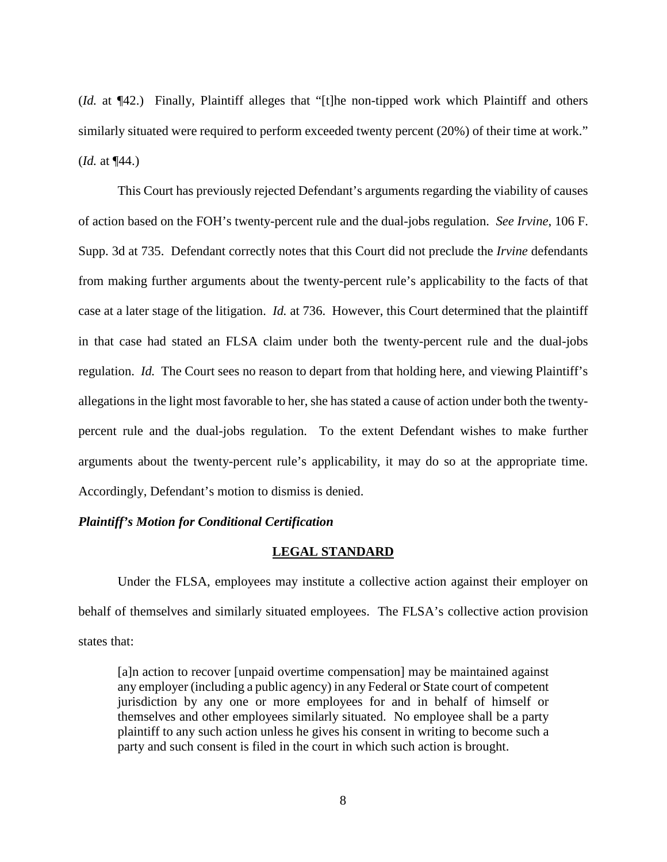(*Id.* at ¶42.) Finally, Plaintiff alleges that "[t]he non-tipped work which Plaintiff and others similarly situated were required to perform exceeded twenty percent (20%) of their time at work." (*Id.* at ¶44.)

This Court has previously rejected Defendant's arguments regarding the viability of causes of action based on the FOH's twenty-percent rule and the dual-jobs regulation. *See Irvine*, 106 F. Supp. 3d at 735. Defendant correctly notes that this Court did not preclude the *Irvine* defendants from making further arguments about the twenty-percent rule's applicability to the facts of that case at a later stage of the litigation. *Id.* at 736. However, this Court determined that the plaintiff in that case had stated an FLSA claim under both the twenty-percent rule and the dual-jobs regulation. *Id.* The Court sees no reason to depart from that holding here, and viewing Plaintiff's allegations in the light most favorable to her, she has stated a cause of action under both the twentypercent rule and the dual-jobs regulation. To the extent Defendant wishes to make further arguments about the twenty-percent rule's applicability, it may do so at the appropriate time. Accordingly, Defendant's motion to dismiss is denied.

# *Plaintiff's Motion for Conditional Certification*

# **LEGAL STANDARD**

 Under the FLSA, employees may institute a collective action against their employer on behalf of themselves and similarly situated employees. The FLSA's collective action provision states that:

[a]n action to recover [unpaid overtime compensation] may be maintained against any employer (including a public agency) in any Federal or State court of competent jurisdiction by any one or more employees for and in behalf of himself or themselves and other employees similarly situated. No employee shall be a party plaintiff to any such action unless he gives his consent in writing to become such a party and such consent is filed in the court in which such action is brought.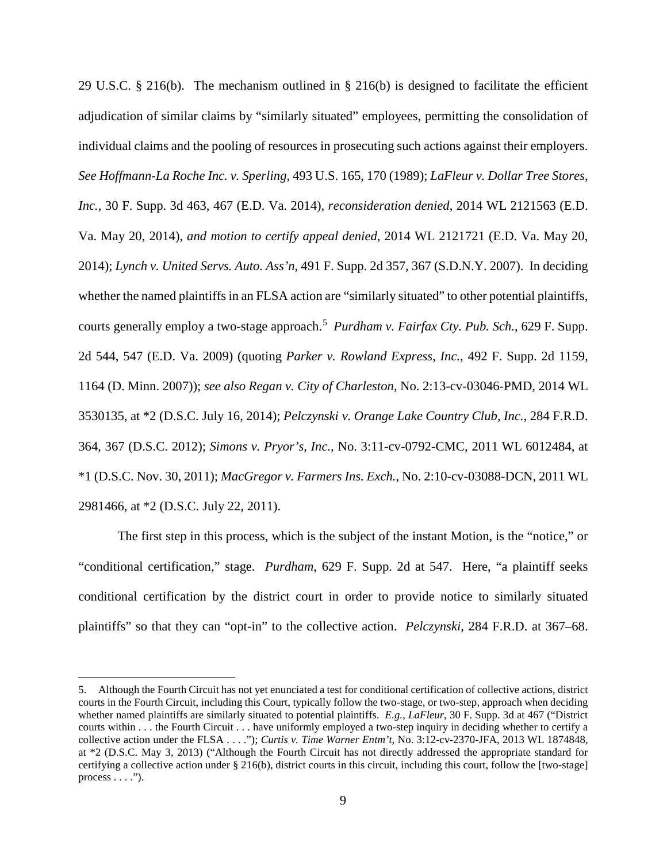29 U.S.C. § 216(b). The mechanism outlined in § 216(b) is designed to facilitate the efficient adjudication of similar claims by "similarly situated" employees, permitting the consolidation of individual claims and the pooling of resources in prosecuting such actions against their employers. *See Hoffmann-La Roche Inc. v. Sperling*, 493 U.S. 165, 170 (1989); *LaFleur v. Dollar Tree Stores, Inc.*, 30 F. Supp. 3d 463, 467 (E.D. Va. 2014), *reconsideration denied*, 2014 WL 2121563 (E.D. Va. May 20, 2014), *and motion to certify appeal denied*, 2014 WL 2121721 (E.D. Va. May 20, 2014); *Lynch v. United Servs. Auto. Ass'n*, 491 F. Supp. 2d 357, 367 (S.D.N.Y. 2007). In deciding whether the named plaintiffs in an FLSA action are "similarly situated" to other potential plaintiffs, courts generally employ a two-stage approach. [5](#page-8-0) *Purdham v. Fairfax Cty. Pub. Sch.*, 629 F. Supp. 2d 544, 547 (E.D. Va. 2009) (quoting *Parker v. Rowland Express, Inc.*, 492 F. Supp. 2d 1159, 1164 (D. Minn. 2007)); *see also Regan v. City of Charleston*, No. 2:13-cv-03046-PMD, 2014 WL 3530135, at \*2 (D.S.C. July 16, 2014); *Pelczynski v. Orange Lake Country Club, Inc.*, 284 F.R.D. 364, 367 (D.S.C. 2012); *Simons v. Pryor's, Inc.*, No. 3:11-cv-0792-CMC, 2011 WL 6012484, at \*1 (D.S.C. Nov. 30, 2011); *MacGregor v. Farmers Ins. Exch.*, No. 2:10-cv-03088-DCN, 2011 WL 2981466, at \*2 (D.S.C. July 22, 2011).

The first step in this process, which is the subject of the instant Motion, is the "notice," or "conditional certification," stage. *Purdham*, 629 F. Supp. 2d at 547. Here, "a plaintiff seeks conditional certification by the district court in order to provide notice to similarly situated plaintiffs" so that they can "opt-in" to the collective action. *Pelczynski*, 284 F.R.D. at 367–68.

 $\overline{a}$ 

<span id="page-8-0"></span><sup>5.</sup> Although the Fourth Circuit has not yet enunciated a test for conditional certification of collective actions, district courts in the Fourth Circuit, including this Court, typically follow the two-stage, or two-step, approach when deciding whether named plaintiffs are similarly situated to potential plaintiffs. *E.g.*, *LaFleur*, 30 F. Supp. 3d at 467 ("District courts within . . . the Fourth Circuit . . . have uniformly employed a two-step inquiry in deciding whether to certify a collective action under the FLSA . . . ."); *Curtis v. Time Warner Entm't*, No. 3:12-cv-2370-JFA, 2013 WL 1874848, at \*2 (D.S.C. May 3, 2013) ("Although the Fourth Circuit has not directly addressed the appropriate standard for certifying a collective action under § 216(b), district courts in this circuit, including this court, follow the [two-stage] process  $\dots$ .").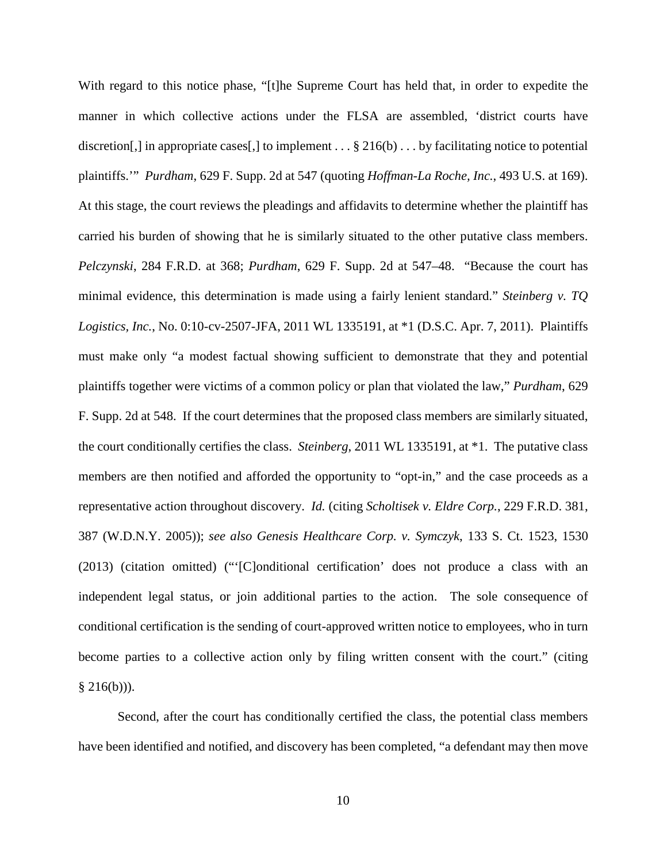With regard to this notice phase, "[t]he Supreme Court has held that, in order to expedite the manner in which collective actions under the FLSA are assembled, 'district courts have discretion[,] in appropriate cases[,] to implement  $\dots$  § 216(b)  $\dots$  by facilitating notice to potential plaintiffs.'" *Purdham*, 629 F. Supp. 2d at 547 (quoting *Hoffman-La Roche, Inc.*, 493 U.S. at 169). At this stage, the court reviews the pleadings and affidavits to determine whether the plaintiff has carried his burden of showing that he is similarly situated to the other putative class members. *Pelczynski*, 284 F.R.D. at 368; *Purdham*, 629 F. Supp. 2d at 547–48. "Because the court has minimal evidence, this determination is made using a fairly lenient standard." *Steinberg v. TQ Logistics, Inc.*, No. 0:10-cv-2507-JFA, 2011 WL 1335191, at \*1 (D.S.C. Apr. 7, 2011). Plaintiffs must make only "a modest factual showing sufficient to demonstrate that they and potential plaintiffs together were victims of a common policy or plan that violated the law," *Purdham*, 629 F. Supp. 2d at 548. If the court determines that the proposed class members are similarly situated, the court conditionally certifies the class. *Steinberg*, 2011 WL 1335191, at \*1. The putative class members are then notified and afforded the opportunity to "opt-in," and the case proceeds as a representative action throughout discovery. *Id.* (citing *Scholtisek v. Eldre Corp.*, 229 F.R.D. 381, 387 (W.D.N.Y. 2005)); *see also Genesis Healthcare Corp. v. Symczyk*, 133 S. Ct. 1523, 1530 (2013) (citation omitted) ("'[C]onditional certification' does not produce a class with an independent legal status, or join additional parties to the action. The sole consequence of conditional certification is the sending of court-approved written notice to employees, who in turn become parties to a collective action only by filing written consent with the court." (citing  $§$  216(b))).

Second, after the court has conditionally certified the class, the potential class members have been identified and notified, and discovery has been completed, "a defendant may then move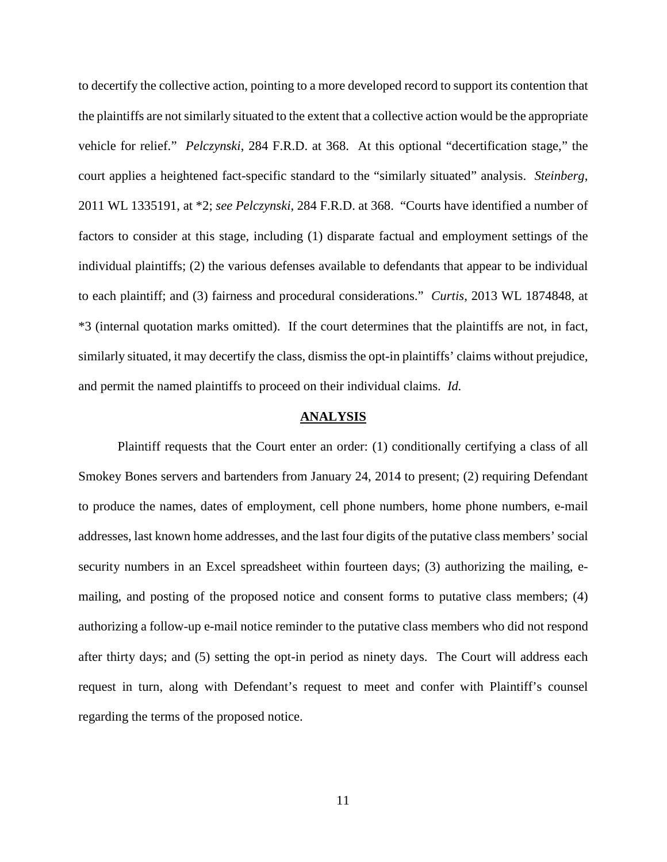to decertify the collective action, pointing to a more developed record to support its contention that the plaintiffs are not similarly situated to the extent that a collective action would be the appropriate vehicle for relief." *Pelczynski*, 284 F.R.D. at 368. At this optional "decertification stage," the court applies a heightened fact-specific standard to the "similarly situated" analysis. *Steinberg*, 2011 WL 1335191, at \*2; *see Pelczynski*, 284 F.R.D. at 368. "Courts have identified a number of factors to consider at this stage, including (1) disparate factual and employment settings of the individual plaintiffs; (2) the various defenses available to defendants that appear to be individual to each plaintiff; and (3) fairness and procedural considerations." *Curtis*, 2013 WL 1874848, at \*3 (internal quotation marks omitted). If the court determines that the plaintiffs are not, in fact, similarly situated, it may decertify the class, dismiss the opt-in plaintiffs' claims without prejudice, and permit the named plaintiffs to proceed on their individual claims. *Id.*

#### **ANALYSIS**

Plaintiff requests that the Court enter an order: (1) conditionally certifying a class of all Smokey Bones servers and bartenders from January 24, 2014 to present; (2) requiring Defendant to produce the names, dates of employment, cell phone numbers, home phone numbers, e-mail addresses, last known home addresses, and the last four digits of the putative class members' social security numbers in an Excel spreadsheet within fourteen days; (3) authorizing the mailing, emailing, and posting of the proposed notice and consent forms to putative class members; (4) authorizing a follow-up e-mail notice reminder to the putative class members who did not respond after thirty days; and (5) setting the opt-in period as ninety days. The Court will address each request in turn, along with Defendant's request to meet and confer with Plaintiff's counsel regarding the terms of the proposed notice.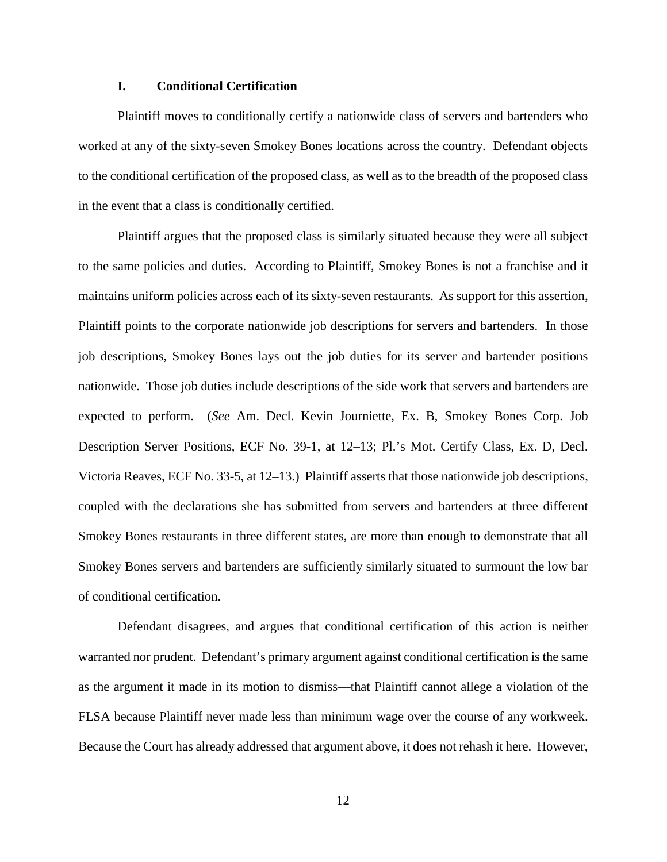# **I. Conditional Certification**

Plaintiff moves to conditionally certify a nationwide class of servers and bartenders who worked at any of the sixty-seven Smokey Bones locations across the country. Defendant objects to the conditional certification of the proposed class, as well as to the breadth of the proposed class in the event that a class is conditionally certified.

Plaintiff argues that the proposed class is similarly situated because they were all subject to the same policies and duties. According to Plaintiff, Smokey Bones is not a franchise and it maintains uniform policies across each of its sixty-seven restaurants. As support for this assertion, Plaintiff points to the corporate nationwide job descriptions for servers and bartenders. In those job descriptions, Smokey Bones lays out the job duties for its server and bartender positions nationwide. Those job duties include descriptions of the side work that servers and bartenders are expected to perform. (*See* Am. Decl. Kevin Journiette, Ex. B, Smokey Bones Corp. Job Description Server Positions, ECF No. 39-1, at 12–13; Pl.'s Mot. Certify Class, Ex. D, Decl. Victoria Reaves, ECF No. 33-5, at 12–13.) Plaintiff asserts that those nationwide job descriptions, coupled with the declarations she has submitted from servers and bartenders at three different Smokey Bones restaurants in three different states, are more than enough to demonstrate that all Smokey Bones servers and bartenders are sufficiently similarly situated to surmount the low bar of conditional certification.

Defendant disagrees, and argues that conditional certification of this action is neither warranted nor prudent. Defendant's primary argument against conditional certification is the same as the argument it made in its motion to dismiss—that Plaintiff cannot allege a violation of the FLSA because Plaintiff never made less than minimum wage over the course of any workweek. Because the Court has already addressed that argument above, it does not rehash it here. However,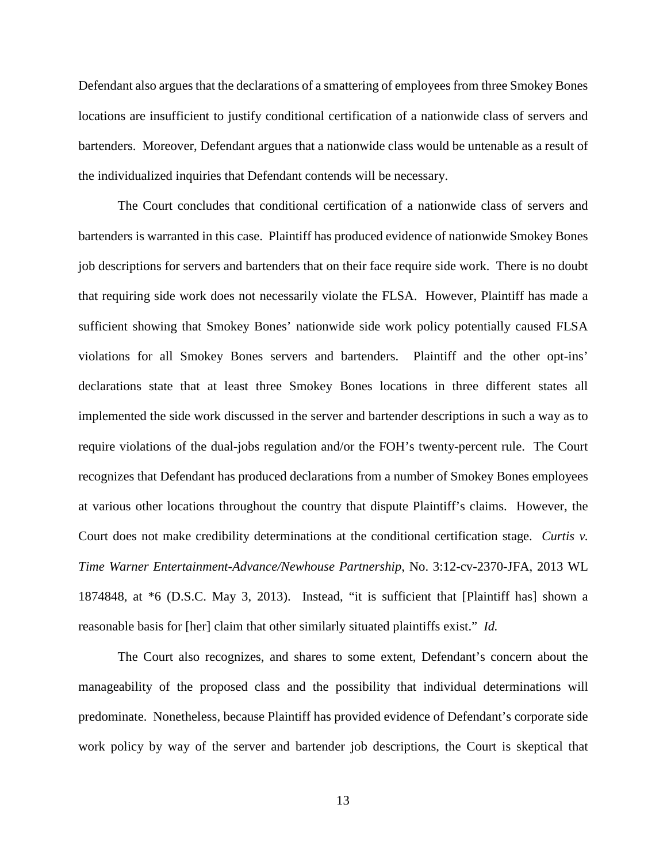Defendant also argues that the declarations of a smattering of employees from three Smokey Bones locations are insufficient to justify conditional certification of a nationwide class of servers and bartenders. Moreover, Defendant argues that a nationwide class would be untenable as a result of the individualized inquiries that Defendant contends will be necessary.

The Court concludes that conditional certification of a nationwide class of servers and bartenders is warranted in this case. Plaintiff has produced evidence of nationwide Smokey Bones job descriptions for servers and bartenders that on their face require side work. There is no doubt that requiring side work does not necessarily violate the FLSA. However, Plaintiff has made a sufficient showing that Smokey Bones' nationwide side work policy potentially caused FLSA violations for all Smokey Bones servers and bartenders. Plaintiff and the other opt-ins' declarations state that at least three Smokey Bones locations in three different states all implemented the side work discussed in the server and bartender descriptions in such a way as to require violations of the dual-jobs regulation and/or the FOH's twenty-percent rule. The Court recognizes that Defendant has produced declarations from a number of Smokey Bones employees at various other locations throughout the country that dispute Plaintiff's claims. However, the Court does not make credibility determinations at the conditional certification stage. *Curtis v. Time Warner Entertainment-Advance/Newhouse Partnership*, No. 3:12-cv-2370-JFA, 2013 WL 1874848, at \*6 (D.S.C. May 3, 2013). Instead, "it is sufficient that [Plaintiff has] shown a reasonable basis for [her] claim that other similarly situated plaintiffs exist." *Id.*

The Court also recognizes, and shares to some extent, Defendant's concern about the manageability of the proposed class and the possibility that individual determinations will predominate. Nonetheless, because Plaintiff has provided evidence of Defendant's corporate side work policy by way of the server and bartender job descriptions, the Court is skeptical that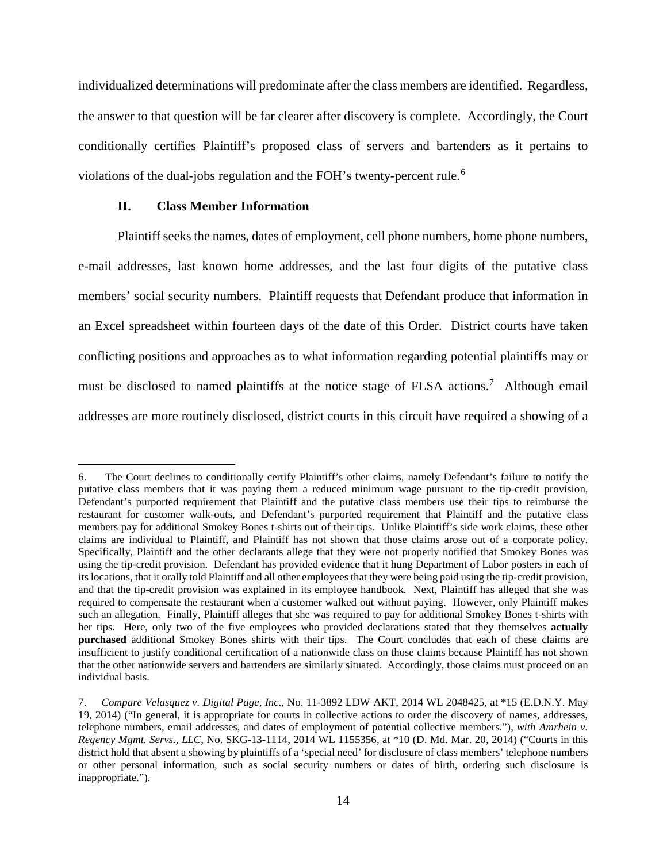individualized determinations will predominate after the class members are identified. Regardless, the answer to that question will be far clearer after discovery is complete. Accordingly, the Court conditionally certifies Plaintiff's proposed class of servers and bartenders as it pertains to violations of the dual-jobs regulation and the FOH's twenty-percent rule.<sup>[6](#page-13-0)</sup>

# **II. Class Member Information**

<u>.</u>

Plaintiff seeks the names, dates of employment, cell phone numbers, home phone numbers, e-mail addresses, last known home addresses, and the last four digits of the putative class members' social security numbers. Plaintiff requests that Defendant produce that information in an Excel spreadsheet within fourteen days of the date of this Order. District courts have taken conflicting positions and approaches as to what information regarding potential plaintiffs may or must be disclosed to named plaintiffs at the notice stage of FLSA actions.<sup>[7](#page-13-1)</sup> Although email addresses are more routinely disclosed, district courts in this circuit have required a showing of a

<span id="page-13-0"></span><sup>6.</sup> The Court declines to conditionally certify Plaintiff's other claims, namely Defendant's failure to notify the putative class members that it was paying them a reduced minimum wage pursuant to the tip-credit provision, Defendant's purported requirement that Plaintiff and the putative class members use their tips to reimburse the restaurant for customer walk-outs, and Defendant's purported requirement that Plaintiff and the putative class members pay for additional Smokey Bones t-shirts out of their tips. Unlike Plaintiff's side work claims, these other claims are individual to Plaintiff, and Plaintiff has not shown that those claims arose out of a corporate policy. Specifically, Plaintiff and the other declarants allege that they were not properly notified that Smokey Bones was using the tip-credit provision. Defendant has provided evidence that it hung Department of Labor posters in each of its locations, that it orally told Plaintiff and all other employees that they were being paid using the tip-credit provision, and that the tip-credit provision was explained in its employee handbook. Next, Plaintiff has alleged that she was required to compensate the restaurant when a customer walked out without paying. However, only Plaintiff makes such an allegation. Finally, Plaintiff alleges that she was required to pay for additional Smokey Bones t-shirts with her tips. Here, only two of the five employees who provided declarations stated that they themselves **actually purchased** additional Smokey Bones shirts with their tips. The Court concludes that each of these claims are insufficient to justify conditional certification of a nationwide class on those claims because Plaintiff has not shown that the other nationwide servers and bartenders are similarly situated. Accordingly, those claims must proceed on an individual basis.

<span id="page-13-1"></span><sup>7.</sup> *Compare Velasquez v. Digital Page, Inc.*, No. 11-3892 LDW AKT, 2014 WL 2048425, at \*15 (E.D.N.Y. May 19, 2014) ("In general, it is appropriate for courts in collective actions to order the discovery of names, addresses, telephone numbers, email addresses, and dates of employment of potential collective members."), *with Amrhein v. Regency Mgmt. Servs., LLC*, No. SKG-13-1114, 2014 WL 1155356, at \*10 (D. Md. Mar. 20, 2014) ("Courts in this district hold that absent a showing by plaintiffs of a 'special need' for disclosure of class members' telephone numbers or other personal information, such as social security numbers or dates of birth, ordering such disclosure is inappropriate.").